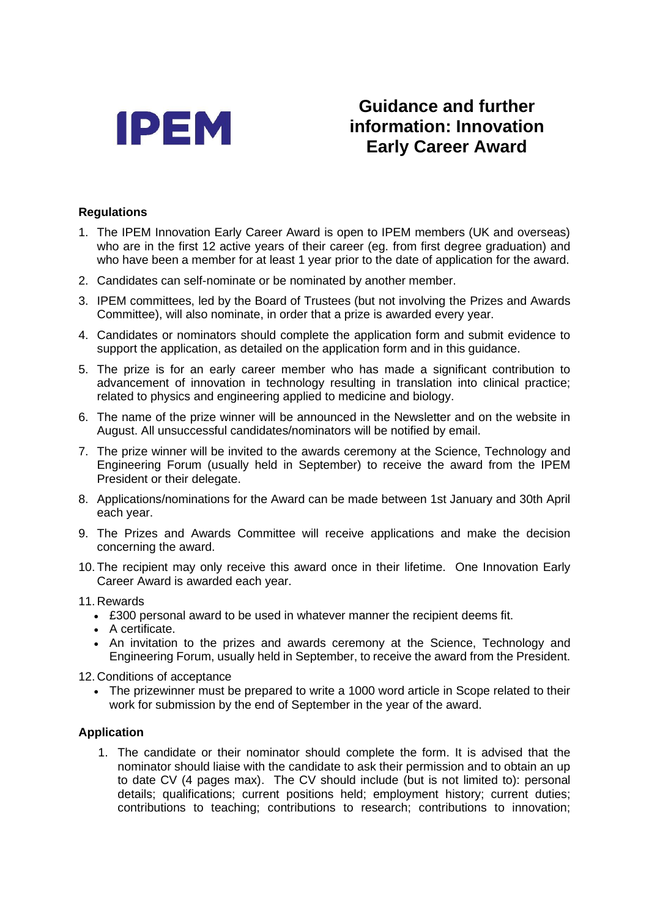

# **Guidance and further information: Innovation Early Career Award**

## **Regulations**

- 1. The IPEM Innovation Early Career Award is open to IPEM members (UK and overseas) who are in the first 12 active years of their career (eg. from first degree graduation) and who have been a member for at least 1 year prior to the date of application for the award.
- 2. Candidates can self-nominate or be nominated by another member.
- 3. IPEM committees, led by the Board of Trustees (but not involving the Prizes and Awards Committee), will also nominate, in order that a prize is awarded every year.
- 4. Candidates or nominators should complete the application form and submit evidence to support the application, as detailed on the application form and in this guidance.
- 5. The prize is for an early career member who has made a significant contribution to advancement of innovation in technology resulting in translation into clinical practice; related to physics and engineering applied to medicine and biology.
- 6. The name of the prize winner will be announced in the Newsletter and on the website in August. All unsuccessful candidates/nominators will be notified by email.
- 7. The prize winner will be invited to the awards ceremony at the Science, Technology and Engineering Forum (usually held in September) to receive the award from the IPEM President or their delegate.
- 8. Applications/nominations for the Award can be made between 1st January and 30th April each year.
- 9. The Prizes and Awards Committee will receive applications and make the decision concerning the award.
- 10. The recipient may only receive this award once in their lifetime. One Innovation Early Career Award is awarded each year.

#### 11. Rewards

- £300 personal award to be used in whatever manner the recipient deems fit.
- A certificate.
- An invitation to the prizes and awards ceremony at the Science, Technology and Engineering Forum, usually held in September, to receive the award from the President.

12. Conditions of acceptance

• The prizewinner must be prepared to write a 1000 word article in Scope related to their work for submission by the end of September in the year of the award.

#### **Application**

1. The candidate or their nominator should complete the form. It is advised that the nominator should liaise with the candidate to ask their permission and to obtain an up to date CV (4 pages max). The CV should include (but is not limited to): personal details; qualifications; current positions held; employment history; current duties; contributions to teaching; contributions to research; contributions to innovation;